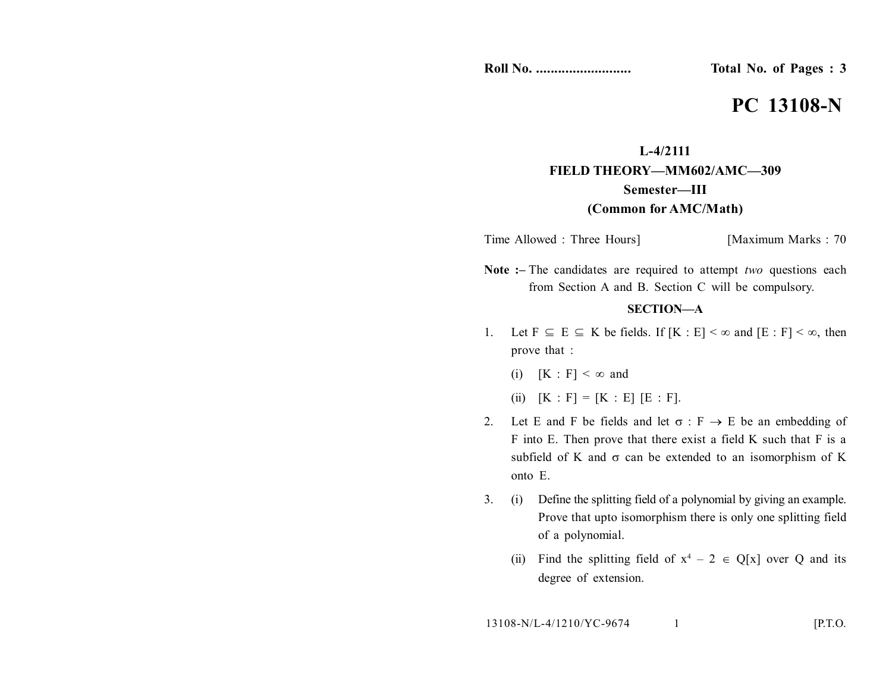**Roll No. .......................... Total No. of Pages : 3**

# **PC 13108-N**

# **L-4/2111 FIELD THEORY—MM602/AMC—309 Semester—III (Common for AMC/Math)**

Time Allowed : Three Hours] [Maximum Marks : 70

**Note :–** The candidates are required to attempt *two* questions each from Section A and B. Section C will be compulsory.

## **SECTION—A**

- 1. Let  $F \subseteq E \subseteq K$  be fields. If  $[K : E] < \infty$  and  $[E : F] < \infty$ , then prove that :
	- (i)  $[K : F] < \infty$  and
	- (ii)  $[K : F] = [K : E] [E : F].$
- 2. Let E and F be fields and let  $\sigma : F \to E$  be an embedding of F into E. Then prove that there exist a field K such that F is a subfield of K and  $\sigma$  can be extended to an isomorphism of K onto E.
- 3. (i) Define the splitting field of a polynomial by giving an example. Prove that upto isomorphism there is only one splitting field of a polynomial.
	- (ii) Find the splitting field of  $x^4 2 \in Q[x]$  over Q and its degree of extension.